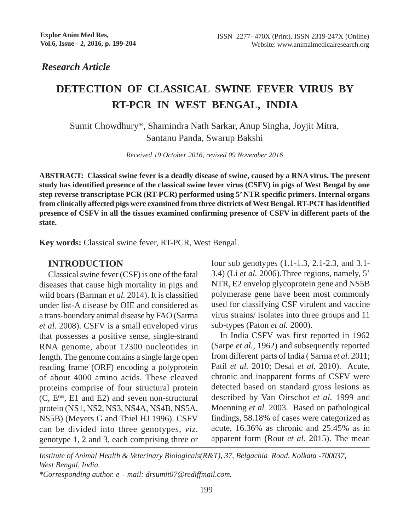*Research Article*

# **DETECTION OF CLASSICAL SWINE FEVER VIRUS BY RT-PCR IN WEST BENGAL, INDIA**

Sumit Chowdhury\*, Shamindra Nath Sarkar, Anup Singha, Joyjit Mitra, Santanu Panda, Swarup Bakshi

*Received 19 October 2016, revised 09 November 2016*

**ABSTRACT: Classical swine fever is a deadly disease of swine, caused by a RNA virus. The present study has identified presence of the classical swine fever virus (CSFV) in pigs of West Bengal by one step reverse transcriptase PCR (RT-PCR) performed using 5' NTR specific primers. Internal organs from clinically affected pigs were examined from three districts of West Bengal. RT-PCT has identified presence of CSFV in all the tissues examined confirming presence of CSFV in different parts of the state.**

**Key words:** Classical swine fever, RT-PCR, West Bengal.

#### **INTRODUCTION**

Classical swine fever (CSF) is one of the fatal diseases that cause high mortality in pigs and wild boars (Barman *et al.* 2014). It is classified under list-A disease by OIE and considered as a trans-boundary animal disease by FAO (Sarma *et al.* 2008). CSFV is a small enveloped virus that possesses a positive sense, single-strand RNA genome, about 12300 nucleotides in length. The genome contains a single large open reading frame (ORF) encoding a polyprotein of about 4000 amino acids. These cleaved proteins comprise of four structural protein (C, Erns, E1 and E2) and seven non-structural protein (NS1, NS2, NS3, NS4A, NS4B, NS5A, NS5B) (Meyers G and Thiel HJ 1996). CSFV can be divided into three genotypes, *viz*. genotype 1, 2 and 3, each comprising three or

four sub genotypes (1.1-1.3, 2.1-2.3, and 3.1- 3.4) (Li *et al.* 2006).Three regions, namely, 5' NTR, E2 envelop glycoprotein gene and NS5B polymerase gene have been most commonly used for classifying CSF virulent and vaccine virus strains/ isolates into three groups and 11 sub-types (Paton *et al.* 2000).

In India CSFV was first reported in 1962 (Sarpe *et al.,* 1962) and subsequently reported from different parts of India ( Sarma *et al.* 2011; Patil *et al.* 2010; Desai *et al.* 2010). Acute, chronic and inapparent forms of CSFV were detected based on standard gross lesions as described by Van Oirschot *et al.* 1999 and Moenning *et al.* 2003. Based on pathological findings, 58.18% of cases were categorized as acute, 16.36% as chronic and 25.45% as in apparent form (Rout *et al.* 2015). The mean

*Institute of Animal Health & Veterinary Biologicals(R&T), 37, Belgachia Road, Kolkata -700037, West Bengal, India.*

*\*Corresponding author. e – mail: drsumit07@rediffmail.com.*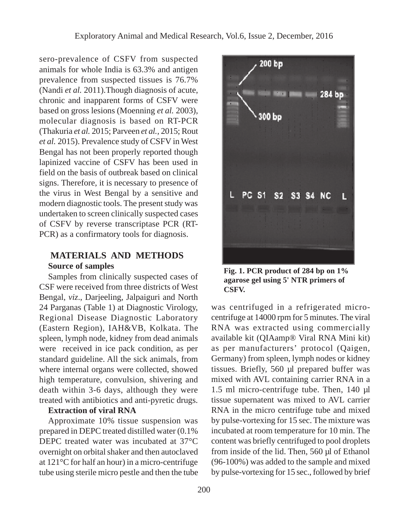sero-prevalence of CSFV from suspected animals for whole India is 63.3% and antigen prevalence from suspected tissues is 76.7% (Nandi *et al.* 2011).Though diagnosis of acute, chronic and inapparent forms of CSFV were based on gross lesions (Moenning *et al.* 2003), molecular diagnosis is based on RT-PCR (Thakuria *et al.* 2015; Parveen *et al.,* 2015; Rout *et al.* 2015). Prevalence study of CSFV in West Bengal has not been properly reported though lapinized vaccine of CSFV has been used in field on the basis of outbreak based on clinical signs. Therefore, it is necessary to presence of the virus in West Bengal by a sensitive and modern diagnostic tools. The present study was undertaken to screen clinically suspected cases of CSFV by reverse transcriptase PCR (RT-PCR) as a confirmatory tools for diagnosis.

## **MATERIALS AND METHODS Source of samples**

Samples from clinically suspected cases of CSF were received from three districts of West Bengal, *viz*., Darjeeling, Jalpaiguri and North 24 Parganas (Table 1) at Diagnostic Virology, Regional Disease Diagnostic Laboratory (Eastern Region), IAH&VB, Kolkata. The spleen, lymph node, kidney from dead animals were received in ice pack condition, as per standard guideline. All the sick animals, from where internal organs were collected, showed high temperature, convulsion, shivering and death within 3-6 days, although they were treated with antibiotics and anti-pyretic drugs.

# **Extraction of viral RNA**

Approximate 10% tissue suspension was prepared in DEPC treated distilled water (0.1% DEPC treated water was incubated at 37°C overnight on orbital shaker and then autoclaved at 121°C for half an hour) in a micro-centrifuge tube using sterile micro pestle and then the tube



**Fig. 1. PCR product of 284 bp on 1% agarose gel using 5' NTR primers of CSFV.**

was centrifuged in a refrigerated microcentrifuge at 14000 rpm for 5 minutes. The viral RNA was extracted using commercially available kit (QIAamp® Viral RNA Mini kit) as per manufacturers' protocol (Qaigen, Germany) from spleen, lymph nodes or kidney tissues. Briefly, 560 µl prepared buffer was mixed with AVL containing carrier RNA in a 1.5 ml micro-centrifuge tube. Then, 140 µl tissue supernatent was mixed to AVL carrier RNA in the micro centrifuge tube and mixed by pulse-vortexing for 15 sec. The mixture was incubated at room temperature for 10 min. The content was briefly centrifuged to pool droplets from inside of the lid. Then, 560 µl of Ethanol (96-100%) was added to the sample and mixed by pulse-vortexing for 15 sec., followed by brief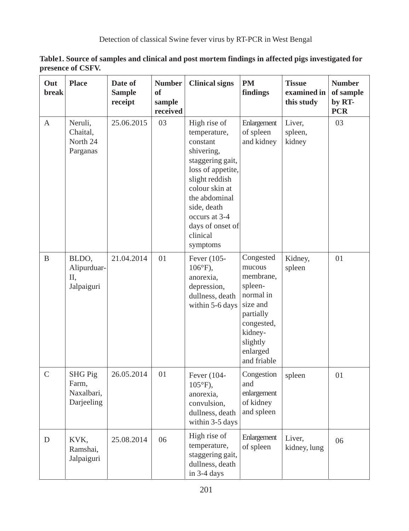| Out<br><b>break</b> | <b>Place</b>                                        | Date of<br><b>Sample</b><br>receipt | <b>Number</b><br>of<br>sample<br>received | <b>Clinical signs</b>                                                                                                                                                                                                            | <b>PM</b><br>findings                                                                                                                             | <b>Tissue</b><br>examined in<br>this study | <b>Number</b><br>of sample<br>by RT-<br><b>PCR</b> |
|---------------------|-----------------------------------------------------|-------------------------------------|-------------------------------------------|----------------------------------------------------------------------------------------------------------------------------------------------------------------------------------------------------------------------------------|---------------------------------------------------------------------------------------------------------------------------------------------------|--------------------------------------------|----------------------------------------------------|
| A                   | Neruli,<br>Chaital,<br>North 24<br>Parganas         | 25.06.2015                          | 03                                        | High rise of<br>temperature,<br>constant<br>shivering,<br>staggering gait,<br>loss of appetite,<br>slight reddish<br>colour skin at<br>the abdominal<br>side, death<br>occurs at 3-4<br>days of onset of<br>clinical<br>symptoms | Enlargement<br>of spleen<br>and kidney                                                                                                            | Liver,<br>spleen,<br>kidney                | 03                                                 |
| $\, {\bf B}$        | BLDO,<br>Alipurduar-<br>Π,<br>Jalpaiguri            | 21.04.2014                          | 01                                        | Fever (105-<br>$106^{\circ}F$ ),<br>anorexia,<br>depression,<br>dullness, death<br>within 5-6 days                                                                                                                               | Congested<br>mucous<br>membrane,<br>spleen-<br>normal in<br>size and<br>partially<br>congested,<br>kidney-<br>slightly<br>enlarged<br>and friable | Kidney,<br>spleen                          | 01                                                 |
| $\mathsf{C}$        | <b>SHG Pig</b><br>Farm.<br>Naxalbari,<br>Darjeeling | 26.05.2014                          | 01                                        | Fever (104-<br>$105^{\circ}F$ ),<br>anorexia,<br>convulsion,<br>dullness, death<br>within 3-5 days                                                                                                                               | Congestion<br>and<br>enlargement<br>of kidney<br>and spleen                                                                                       | spleen                                     | 01                                                 |
| $\mathbf D$         | KVK,<br>Ramshai,<br>Jalpaiguri                      | 25.08.2014                          | 06                                        | High rise of<br>temperature,<br>staggering gait,<br>dullness, death<br>in 3-4 days                                                                                                                                               | Enlargement<br>of spleen                                                                                                                          | Liver,<br>kidney, lung                     | 06                                                 |

**Table1. Source of samples and clinical and post mortem findings in affected pigs investigated for presence of CSFV.**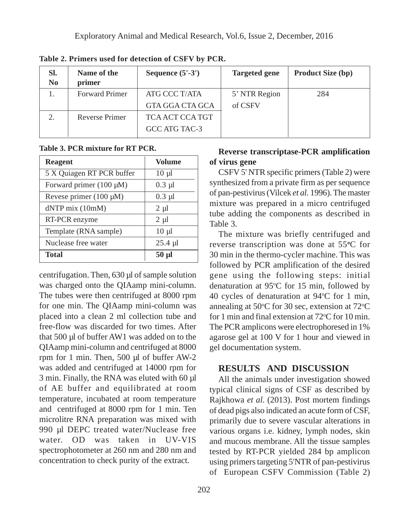| SI.<br>N <sub>0</sub> | Name of the<br>primer | Sequence $(5'-3')$ | <b>Targeted gene</b> | <b>Product Size (bp)</b> |
|-----------------------|-----------------------|--------------------|----------------------|--------------------------|
|                       | <b>Forward Primer</b> | ATG CCC T/ATA      | 5' NTR Region        | 284                      |
|                       |                       | GTA GGA CTA GCA    | of CSFV              |                          |
|                       | <b>Reverse Primer</b> | TCA ACT CCA TGT    |                      |                          |
|                       |                       | GCC ATG TAC-3      |                      |                          |

**Table 2. Primers used for detection of CSFV by PCR.**

**Table 3. PCR mixture for RT PCR.**

| <b>Reagent</b>              | <b>Volume</b> |
|-----------------------------|---------------|
| 5 X Quiagen RT PCR buffer   | $10 \mu l$    |
| Forward primer (100 µM)     | $0.3$ $\mu$ l |
| Revese primer $(100 \mu M)$ | $0.3$ $\mu$ l |
| dNTP mix (10mM)             | $2 \mu l$     |
| RT-PCR enzyme               | $2 \mu l$     |
| Template (RNA sample)       | $10 \mu l$    |
| Nuclease free water         | $25.4 \mu$ l  |
| <b>Total</b>                | $50 \mu$ l    |

centrifugation. Then, 630 µl of sample solution was charged onto the QIAamp mini-column. The tubes were then centrifuged at 8000 rpm for one min. The QIAamp mini-column was placed into a clean 2 ml collection tube and free-flow was discarded for two times. After that 500 µl of buffer AW1 was added on to the QIAamp mini-column and centrifuged at 8000 rpm for 1 min. Then, 500 µl of buffer AW-2 was added and centrifuged at 14000 rpm for 3 min. Finally, the RNA was eluted with 60 µl of AE buffer and equilibrated at room temperature, incubated at room temperature and centrifuged at 8000 rpm for 1 min. Ten microlitre RNA preparation was mixed with 990 µl DEPC treated water/Nuclease free water. OD was taken in UV-VIS spectrophotometer at 260 nm and 280 nm and concentration to check purity of the extract.

### **Reverse transcriptase-PCR amplification of virus gene**

CSFV 5' NTR specific primers (Table 2) were synthesized from a private firm as per sequence of pan-pestivirus (Vilcek *et al.* 1996). The master mixture was prepared in a micro centrifuged tube adding the components as described in Table 3.

The mixture was briefly centrifuged and reverse transcription was done at 55**<sup>o</sup>** C for 30 min in the thermo-cycler machine. This was followed by PCR amplification of the desired gene using the following steps: initial denaturation at 95°C for 15 min, followed by 40 cycles of denaturation at 94°C for 1 min, annealing at 50 $\degree$ C for 30 sec, extension at 72 $\degree$ C for 1 min and final extension at  $72^{\circ}$ C for 10 min. The PCR amplicons were electrophoresed in 1% agarose gel at 100 V for 1 hour and viewed in gel documentation system.

### **RESULTS AND DISCUSSION**

All the animals under investigation showed typical clinical signs of CSF as described by Rajkhowa *et al.* (2013). Post mortem findings of dead pigs also indicated an acute form of CSF, primarily due to severe vascular alterations in various organs i.e. kidney, lymph nodes, skin and mucous membrane. All the tissue samples tested by RT-PCR yielded 284 bp amplicon using primers targeting 5'NTR of pan-pestivirus of European CSFV Commission (Table 2)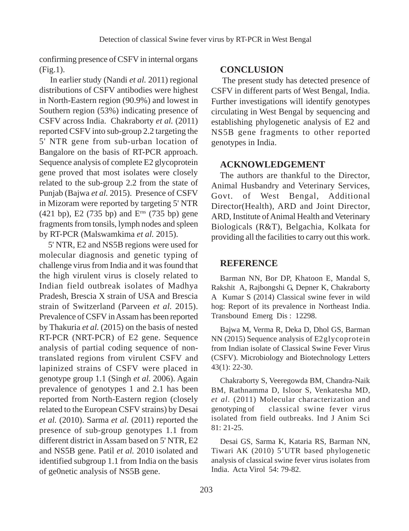confirming presence of CSFV in internal organs (Fig.1).

 In earlier study (Nandi *et al.* 2011) regional distributions of CSFV antibodies were highest in North-Eastern region (90.9%) and lowest in Southern region (53%) indicating presence of CSFV across India. Chakraborty *et al.* (2011) reported CSFV into sub-group 2.2 targeting the 5' NTR gene from sub-urban location of Bangalore on the basis of RT-PCR approach. Sequence analysis of complete E2 glycoprotein gene proved that most isolates were closely related to the sub-group 2.2 from the state of Punjab (Bajwa *et al.* 2015). Presence of CSFV in Mizoram were reported by targeting 5' NTR (421 bp), E2 (735 bp) and Erns (735 bp) gene fragments from tonsils, lymph nodes and spleen by RT-PCR (Malswamkima *et al.* 2015).

5' NTR, E2 and NS5B regions were used for molecular diagnosis and genetic typing of challenge virus from India and it was found that the high virulent virus is closely related to Indian field outbreak isolates of Madhya Pradesh, Brescia X strain of USA and Brescia strain of Switzerland (Parveen *et al.* 2015). Prevalence of CSFV in Assam has been reported by Thakuria *et al.* (2015) on the basis of nested RT-PCR (NRT-PCR) of E2 gene. Sequence analysis of partial coding sequence of nontranslated regions from virulent CSFV and lapinized strains of CSFV were placed in genotype group 1.1 (Singh *et al.* 2006). Again prevalence of genotypes 1 and 2.1 has been reported from North-Eastern region (closely related to the European CSFV strains) by Desai *et al.* (2010). Sarma *et al.* (2011) reported the presence of sub-group genotypes 1.1 from different district in Assam based on 5' NTR, E2 and NS5B gene. Patil *et al.* 2010 isolated and identified subgroup 1.1 from India on the basis of ge0netic analysis of NS5B gene.

#### **CONCLUSION**

 The present study has detected presence of CSFV in different parts of West Bengal, India. Further investigations will identify genotypes circulating in West Bengal by sequencing and establishing phylogenetic analysis of E2 and NS5B gene fragments to other reported genotypes in India.

#### **ACKNOWLEDGEMENT**

The authors are thankful to the Director, Animal Husbandry and Veterinary Services, Govt. of West Bengal, Additional Director(Health), ARD and Joint Director, ARD, Institute of Animal Health and Veterinary Biologicals (R&T), Belgachia, Kolkata for providing all the facilities to carry out this work.

#### **REFERENCE**

Barman NN, Bor DP, Khatoon E, Mandal S, Rakshit A, Rajbongshi G, Depner K, Chakraborty A Kumar S (2014) Classical swine fever in wild hog: Report of its prevalence in Northeast India. Transbound Emerg Dis : 12298.

Bajwa M, Verma R, Deka D, Dhol GS, Barman NN (2015) Sequence analysis of E2glycoprotein from Indian isolate of Classical Swine Fever Virus (CSFV). Microbiology and Biotechnology Letters 43(1): 22-30.

Chakraborty S, Veeregowda BM, Chandra-Naik BM, Rathnamma D, Isloor S, Venkatesha MD, *et al*. (2011) Molecular characterization and genotyping of classical swine fever virus isolated from field outbreaks. Ind J Anim Sci 81: 21-25.

Desai GS, Sarma K, Kataria RS, Barman NN, Tiwari AK (2010) 5'UTR based phylogenetic analysis of classical swine fever virus isolates from India. Acta Virol 54: 79-82.